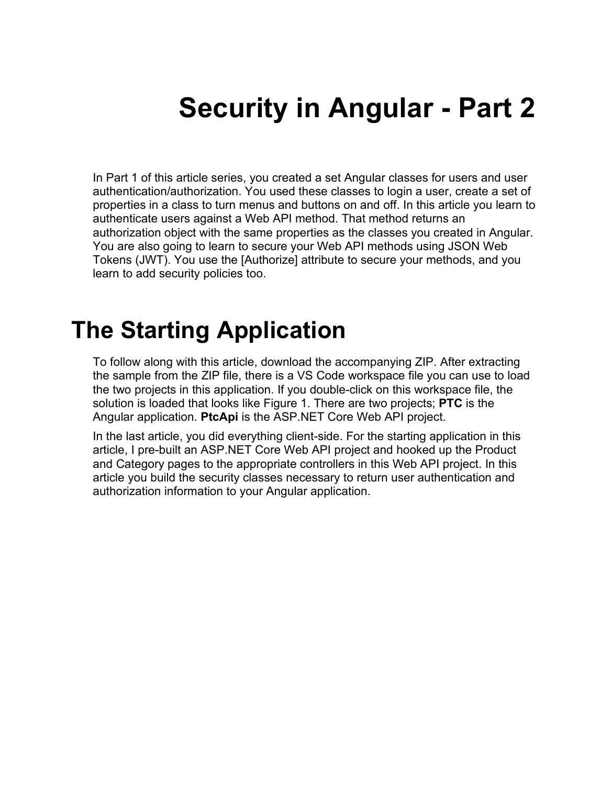# **Security in Angular - Part 2**

In Part 1 of this article series, you created a set Angular classes for users and user authentication/authorization. You used these classes to login a user, create a set of properties in a class to turn menus and buttons on and off. In this article you learn to authenticate users against a Web API method. That method returns an authorization object with the same properties as the classes you created in Angular. You are also going to learn to secure your Web API methods using JSON Web Tokens (JWT). You use the [Authorize] attribute to secure your methods, and you learn to add security policies too.

## **The Starting Application**

To follow along with this article, download the accompanying ZIP. After extracting the sample from the ZIP file, there is a VS Code workspace file you can use to load the two projects in this application. If you double-click on this workspace file, the solution is loaded that looks like Figure 1. There are two projects; **PTC** is the Angular application. **PtcApi** is the ASP.NET Core Web API project.

In the last article, you did everything client-side. For the starting application in this article, I pre-built an ASP.NET Core Web API project and hooked up the Product and Category pages to the appropriate controllers in this Web API project. In this article you build the security classes necessary to return user authentication and authorization information to your Angular application.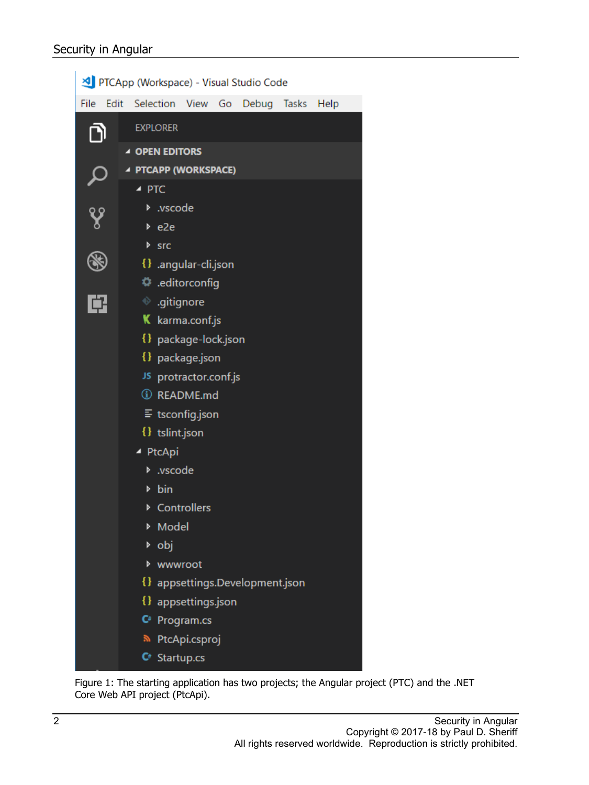| PTCApp (Workspace) - Visual Studio Code |                 |                                                             |                                            |  |                                 |  |      |  |  |  |  |
|-----------------------------------------|-----------------|-------------------------------------------------------------|--------------------------------------------|--|---------------------------------|--|------|--|--|--|--|
| File                                    | Edit            |                                                             | Selection View Go                          |  | Debug Tasks                     |  | Help |  |  |  |  |
|                                         |                 | <b>EXPLORER</b>                                             |                                            |  |                                 |  |      |  |  |  |  |
|                                         |                 | ▲ OPEN EDITORS                                              |                                            |  |                                 |  |      |  |  |  |  |
|                                         |                 | ▲ PTCAPP (WORKSPACE)                                        |                                            |  |                                 |  |      |  |  |  |  |
|                                         |                 | $\blacktriangle$ PTC                                        |                                            |  |                                 |  |      |  |  |  |  |
|                                         |                 | D .vscode                                                   |                                            |  |                                 |  |      |  |  |  |  |
|                                         |                 | $be$ e2e                                                    |                                            |  |                                 |  |      |  |  |  |  |
|                                         |                 | ▶ src                                                       |                                            |  |                                 |  |      |  |  |  |  |
|                                         |                 | {} .angular-cli.json                                        |                                            |  |                                 |  |      |  |  |  |  |
|                                         |                 | editorconfig. ۞                                             |                                            |  |                                 |  |      |  |  |  |  |
|                                         |                 | $\textcolor{green}\textcircled{\tiny\textsf{F}}$ .gitignore |                                            |  |                                 |  |      |  |  |  |  |
|                                         | K karma.conf.js |                                                             |                                            |  |                                 |  |      |  |  |  |  |
|                                         |                 | {} package-lock.json                                        |                                            |  |                                 |  |      |  |  |  |  |
|                                         |                 | {} package.json                                             |                                            |  |                                 |  |      |  |  |  |  |
|                                         |                 | JS protractor.conf.js                                       |                                            |  |                                 |  |      |  |  |  |  |
|                                         |                 | <b><i>(i)</i></b> README.md                                 |                                            |  |                                 |  |      |  |  |  |  |
|                                         |                 | $\equiv$ tsconfig.json                                      |                                            |  |                                 |  |      |  |  |  |  |
|                                         |                 | {} tslint.json                                              |                                            |  |                                 |  |      |  |  |  |  |
|                                         | ▲ PtcApi        |                                                             |                                            |  |                                 |  |      |  |  |  |  |
|                                         | vscode <        |                                                             |                                            |  |                                 |  |      |  |  |  |  |
|                                         | Þ               | bin                                                         |                                            |  |                                 |  |      |  |  |  |  |
|                                         |                 |                                                             | ▶ Controllers                              |  |                                 |  |      |  |  |  |  |
|                                         |                 | Model                                                       |                                            |  |                                 |  |      |  |  |  |  |
|                                         |                 | ▶ obj                                                       |                                            |  |                                 |  |      |  |  |  |  |
|                                         | Þ               | wwwroot                                                     |                                            |  |                                 |  |      |  |  |  |  |
|                                         |                 |                                                             |                                            |  | {} appsettings.Development.json |  |      |  |  |  |  |
|                                         |                 |                                                             | {} appsettings.json                        |  |                                 |  |      |  |  |  |  |
|                                         |                 |                                                             | $\mathsf{C}^*$ Program.cs<br>PtcApi.csproj |  |                                 |  |      |  |  |  |  |
|                                         |                 | $C^*$ Startup.cs                                            |                                            |  |                                 |  |      |  |  |  |  |

Figure 1: The starting application has two projects; the Angular project (PTC) and the .NET Core Web API project (PtcApi).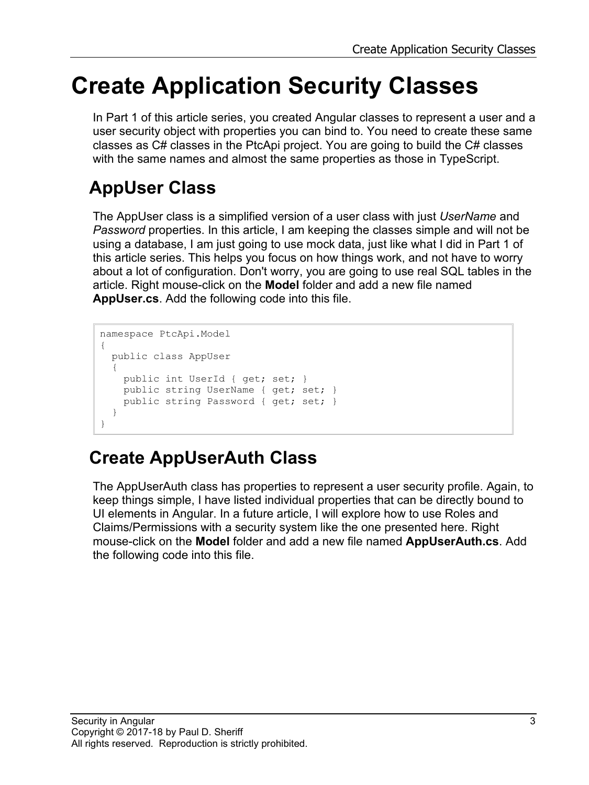## **Create Application Security Classes**

In Part 1 of this article series, you created Angular classes to represent a user and a user security object with properties you can bind to. You need to create these same classes as C# classes in the PtcApi project. You are going to build the C# classes with the same names and almost the same properties as those in TypeScript.

### **AppUser Class**

The AppUser class is a simplified version of a user class with just *UserName* and *Password* properties. In this article, I am keeping the classes simple and will not be using a database, I am just going to use mock data, just like what I did in Part 1 of this article series. This helps you focus on how things work, and not have to worry about a lot of configuration. Don't worry, you are going to use real SQL tables in the article. Right mouse-click on the **Model** folder and add a new file named **AppUser.cs**. Add the following code into this file.

```
namespace PtcApi.Model
{
  public class AppUser
\{ public int UserId { get; set; }
    public string UserName { get; set; }
    public string Password { get; set; }
 }
}
```
### **Create AppUserAuth Class**

The AppUserAuth class has properties to represent a user security profile. Again, to keep things simple, I have listed individual properties that can be directly bound to UI elements in Angular. In a future article, I will explore how to use Roles and Claims/Permissions with a security system like the one presented here. Right mouse-click on the **Model** folder and add a new file named **AppUserAuth.cs**. Add the following code into this file.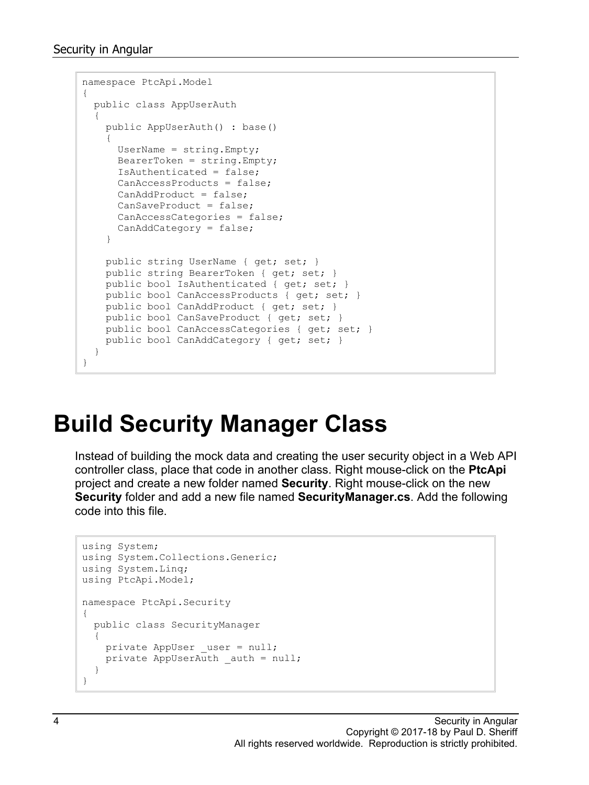```
namespace PtcApi.Model
{
  public class AppUserAuth
\{ public AppUserAuth() : base()
     {
     UserName = string. Empty;
     \text{BearerToken} = \text{string.Fmpty}; IsAuthenticated = false;
       CanAccessProducts = false;
      CanAddProduct = false;
       CanSaveProduct = false;
      CanAccessCategories = false;
       CanAddCategory = false;
     }
    public string UserName { get; set; }
     public string BearerToken { get; set; }
     public bool IsAuthenticated { get; set; }
   public bool CanAccessProducts { get; set; }
     public bool CanAddProduct { get; set; }
     public bool CanSaveProduct { get; set; }
     public bool CanAccessCategories { get; set; }
   public bool CanAddCategory { get; set; }
   }
}
```
## **Build Security Manager Class**

Instead of building the mock data and creating the user security object in a Web API controller class, place that code in another class. Right mouse-click on the **PtcApi** project and create a new folder named **Security**. Right mouse-click on the new **Security** folder and add a new file named **SecurityManager.cs**. Add the following code into this file.

```
using System;
using System.Collections.Generic;
using System.Linq;
using PtcApi.Model;
namespace PtcApi.Security
{
  public class SecurityManager
   {
   private AppUser user = null;private AppUserAuth auth = null; }
}
```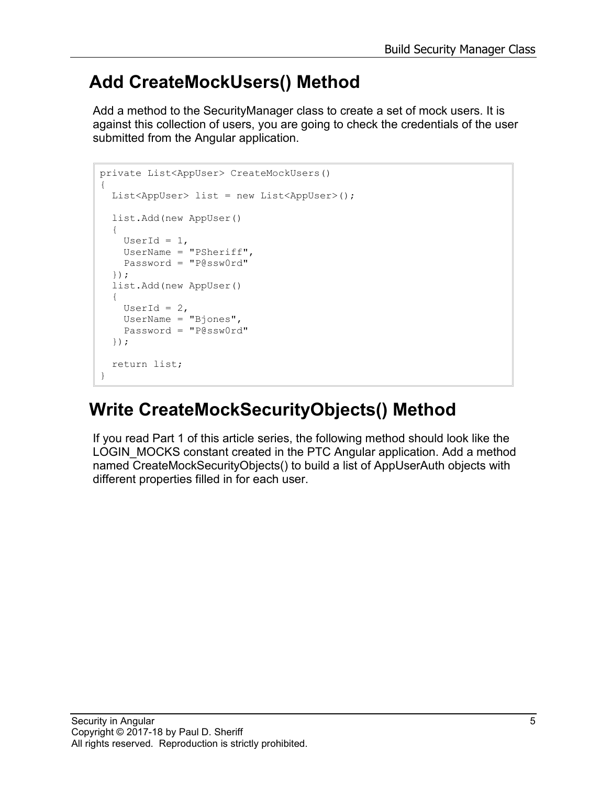### **Add CreateMockUsers() Method**

Add a method to the SecurityManager class to create a set of mock users. It is against this collection of users, you are going to check the credentials of the user submitted from the Angular application.

```
private List<AppUser> CreateMockUsers()
{
   List<AppUser> list = new List<AppUser>();
   list.Add(new AppUser()
   {
    UserId = 1,
    UserName = "PSheriff",
     Password = "P@ssw0rd"
   });
   list.Add(new AppUser()
   {
    UserId = 2,
     UserName = "Bjones",
     Password = "P@ssw0rd"
   });
   return list;
}
```
## **Write CreateMockSecurityObjects() Method**

If you read Part 1 of this article series, the following method should look like the LOGIN MOCKS constant created in the PTC Angular application. Add a method named CreateMockSecurityObjects() to build a list of AppUserAuth objects with different properties filled in for each user.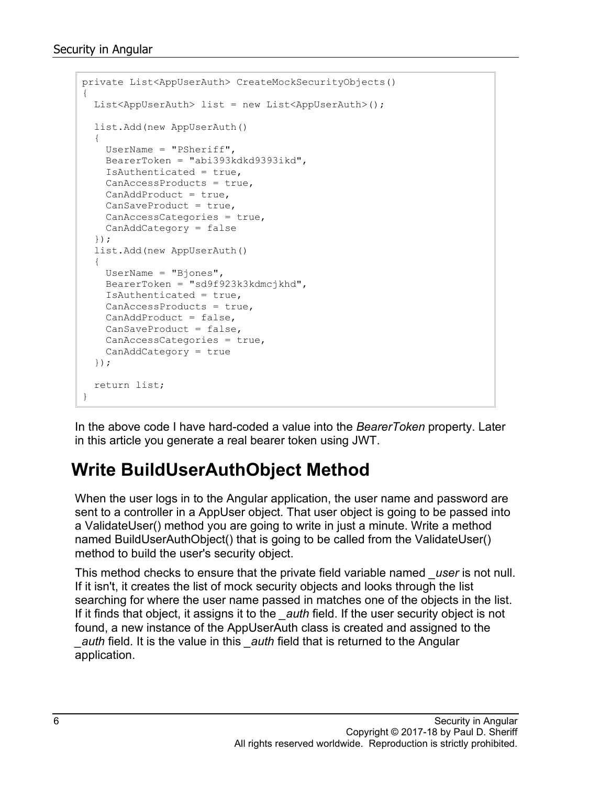```
private List<AppUserAuth> CreateMockSecurityObjects()
{
   List<AppUserAuth> list = new List<AppUserAuth>();
   list.Add(new AppUserAuth()
\{ UserName = "PSheriff",
    BearerToken = "abi393kdkd9393ikd",
    IsAuthenticated = true,
     CanAccessProducts = true,
   CanAddProduct = true.
    CanSaveProduct = true,
    CanAccessCategories = true,
    CanAddCategory = false
   });
   list.Add(new AppUserAuth()
  {
    UserName = "Bjones",
    BearerToken = "sd9f923k3kdmcjkhd",
    IsAuthenticated = true,
    CanAccessProducts = true,
    CanAddProduct = false,
    CanSaveProduct = false,
    CanAccessCategories = true,
    CanAddCategory = true
   });
  return list;
}
```
In the above code I have hard-coded a value into the *BearerToken* property. Later in this article you generate a real bearer token using JWT.

### **Write BuildUserAuthObject Method**

When the user logs in to the Angular application, the user name and password are sent to a controller in a AppUser object. That user object is going to be passed into a ValidateUser() method you are going to write in just a minute. Write a method named BuildUserAuthObject() that is going to be called from the ValidateUser() method to build the user's security object.

This method checks to ensure that the private field variable named *\_user* is not null. If it isn't, it creates the list of mock security objects and looks through the list searching for where the user name passed in matches one of the objects in the list. If it finds that object, it assigns it to the *\_auth* field. If the user security object is not found, a new instance of the AppUserAuth class is created and assigned to the *\_auth* field. It is the value in this *\_auth* field that is returned to the Angular application.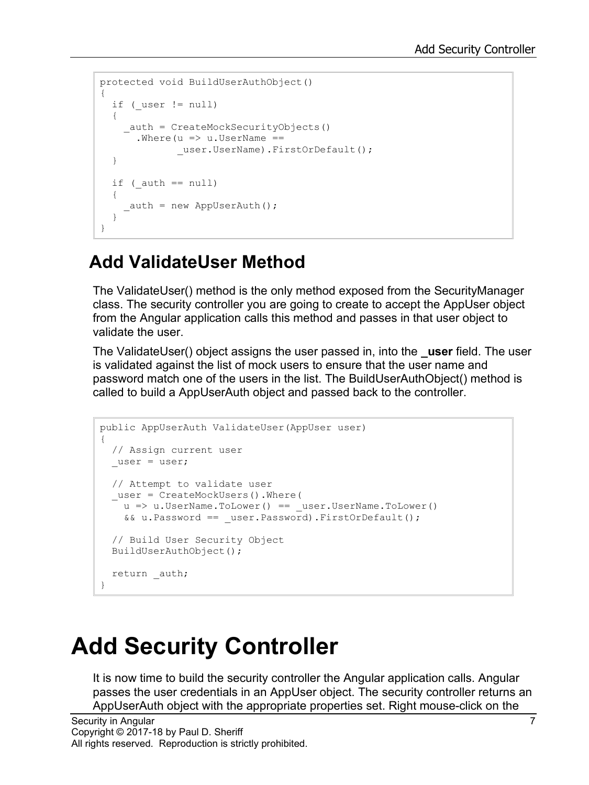```
protected void BuildUserAuthObject()
{
  if ( user != null)
   {
     _auth = CreateMockSecurityObjects()
      .Where (u \Rightarrow u.UserName ==
              user.UserName).FirstOrDefault();
   }
  if (auth == null)
   {
     \text{auth} = \text{new AppUserAuth}();
   }
}
```
### **Add ValidateUser Method**

The ValidateUser() method is the only method exposed from the SecurityManager class. The security controller you are going to create to accept the AppUser object from the Angular application calls this method and passes in that user object to validate the user.

The ValidateUser() object assigns the user passed in, into the **\_user** field. The user is validated against the list of mock users to ensure that the user name and password match one of the users in the list. The BuildUserAuthObject() method is called to build a AppUserAuth object and passed back to the controller.

```
public AppUserAuth ValidateUser(AppUser user)
{
  // Assign current user
 _user = user;
  // Attempt to validate user
  _user = CreateMockUsers().Where(
   u => u.UserName.ToLower() == user.UserName.ToLower()
     && u.Password == _user.Password).FirstOrDefault();
  // Build User Security Object
  BuildUserAuthObject();
 return auth;
}
```
## **Add Security Controller**

It is now time to build the security controller the Angular application calls. Angular passes the user credentials in an AppUser object. The security controller returns an AppUserAuth object with the appropriate properties set. Right mouse-click on the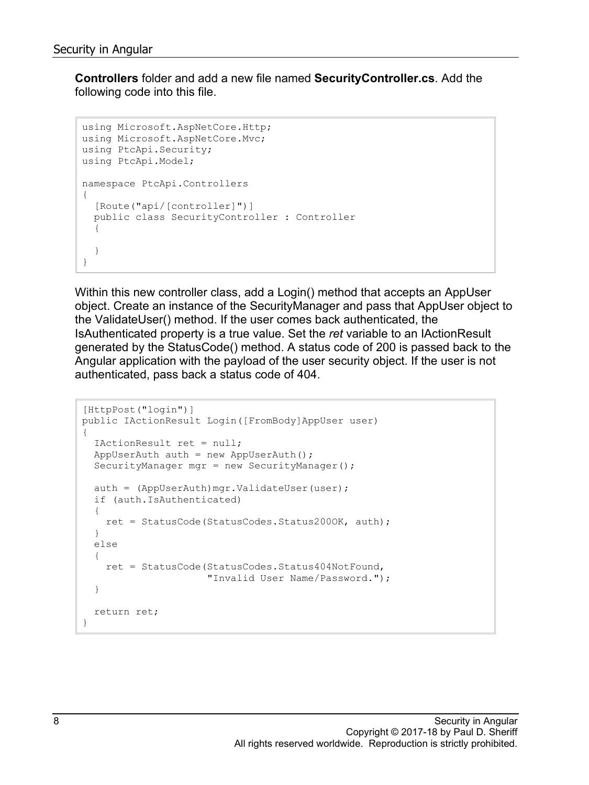**Controllers** folder and add a new file named **SecurityController.cs**. Add the following code into this file.

```
using Microsoft.AspNetCore.Http;
using Microsoft.AspNetCore.Mvc;
using PtcApi.Security;
using PtcApi.Model;
namespace PtcApi.Controllers
{
   [Route("api/[controller]")]
  public class SecurityController : Controller
   {
   }
}
```
Within this new controller class, add a Login() method that accepts an AppUser object. Create an instance of the SecurityManager and pass that AppUser object to the ValidateUser() method. If the user comes back authenticated, the IsAuthenticated property is a true value. Set the *ret* variable to an IActionResult generated by the StatusCode() method. A status code of 200 is passed back to the Angular application with the payload of the user security object. If the user is not authenticated, pass back a status code of 404.

```
[HttpPost("login")]
public IActionResult Login([FromBody]AppUser user)
{
   IActionResult ret = null;
 AppUserAuth auth = new AppUserAuth();
  SecurityManager mgr = new SecurityManager();
  auth = (AppUserAuth)mgr.ValidateUser(user);
   if (auth.IsAuthenticated)
   {
    ret = StatusCode(StatusCodes.Status200OK, auth);
   }
   else
   {
    ret = StatusCode(StatusCodes.Status404NotFound, 
                      "Invalid User Name/Password.");
   }
   return ret;
}
```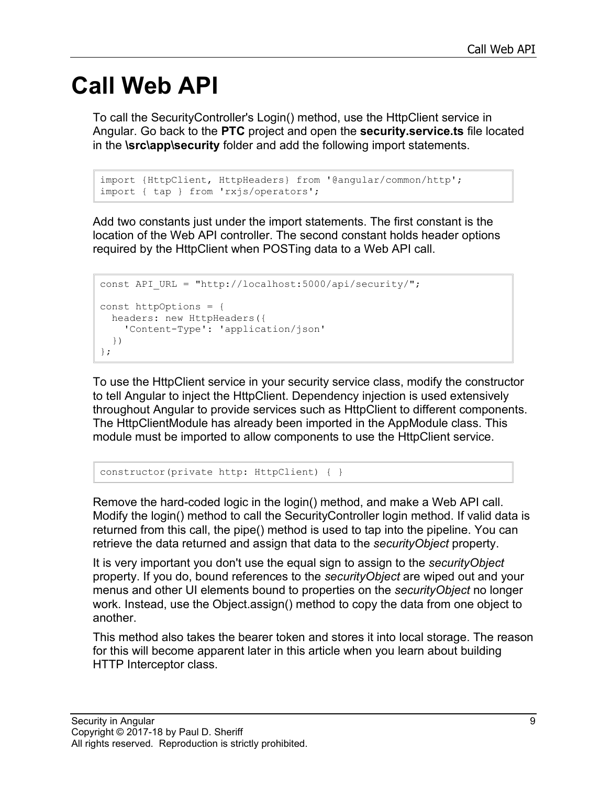## **Call Web API**

To call the SecurityController's Login() method, use the HttpClient service in Angular. Go back to the **PTC** project and open the **security.service.ts** file located in the **\src\app\security** folder and add the following import statements.

```
import {HttpClient, HttpHeaders} from '@angular/common/http';
import { tap } from 'rxjs/operators';
```
Add two constants just under the import statements. The first constant is the location of the Web API controller. The second constant holds header options required by the HttpClient when POSTing data to a Web API call.

```
const API URL = "http://localhost:5000/api/security/";
const httpOptions = {
  headers: new HttpHeaders({
     'Content-Type': 'application/json'
   })
};
```
To use the HttpClient service in your security service class, modify the constructor to tell Angular to inject the HttpClient. Dependency injection is used extensively throughout Angular to provide services such as HttpClient to different components. The HttpClientModule has already been imported in the AppModule class. This module must be imported to allow components to use the HttpClient service.

constructor(private http: HttpClient) { }

Remove the hard-coded logic in the login() method, and make a Web API call. Modify the login() method to call the SecurityController login method. If valid data is returned from this call, the pipe() method is used to tap into the pipeline. You can retrieve the data returned and assign that data to the *securityObject* property.

It is very important you don't use the equal sign to assign to the *securityObject* property. If you do, bound references to the *securityObject* are wiped out and your menus and other UI elements bound to properties on the *securityObject* no longer work. Instead, use the Object.assign() method to copy the data from one object to another.

This method also takes the bearer token and stores it into local storage. The reason for this will become apparent later in this article when you learn about building HTTP Interceptor class.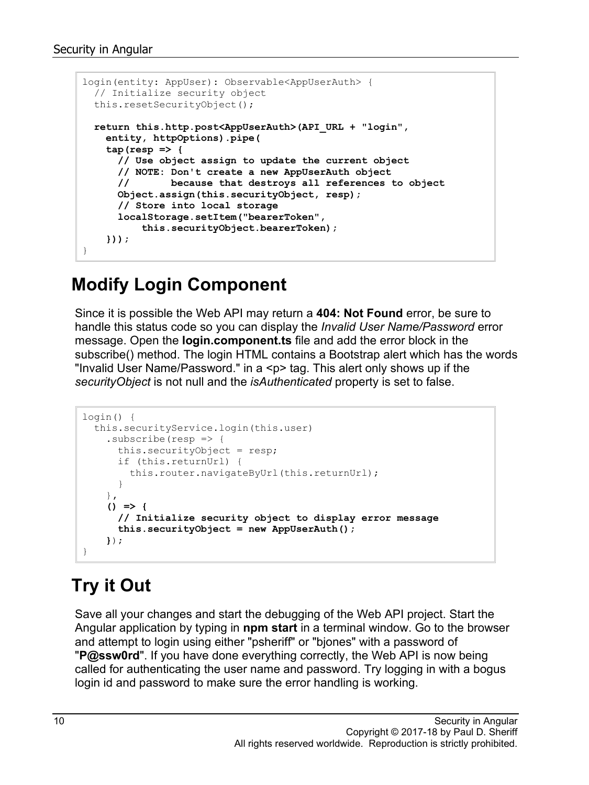```
login(entity: AppUser): Observable<AppUserAuth> {
  // Initialize security object
  this.resetSecurityObject();
  return this.http.post<AppUserAuth>(API_URL + "login",
    entity, httpOptions).pipe(
    \tan (resp \Rightarrow {
       // Use object assign to update the current object
       // NOTE: Don't create a new AppUserAuth object
       // because that destroys all references to object
      Object.assign(this.securityObject, resp);
       // Store into local storage
       localStorage.setItem("bearerToken", 
           this.securityObject.bearerToken);
     }));
}
```
#### **Modify Login Component**

Since it is possible the Web API may return a **404: Not Found** error, be sure to handle this status code so you can display the *Invalid User Name/Password* error message. Open the **login.component.ts** file and add the error block in the subscribe() method. The login HTML contains a Bootstrap alert which has the words "Invalid User Name/Password." in a <p> tag. This alert only shows up if the *securityObject* is not null and the *isAuthenticated* property is set to false.

```
login() {
   this.securityService.login(this.user)
    .subscribe(resp \Rightarrow {
       this.securityObject = resp;
       if (this.returnUrl) {
         this.router.navigateByUrl(this.returnUrl);
       }
     },
     () => {
       // Initialize security object to display error message
       this.securityObject = new AppUserAuth();
     });
}
```
### **Try it Out**

Save all your changes and start the debugging of the Web API project. Start the Angular application by typing in **npm start** in a terminal window. Go to the browser and attempt to login using either "psheriff" or "bjones" with a password of "**P@ssw0rd**". If you have done everything correctly, the Web API is now being called for authenticating the user name and password. Try logging in with a bogus login id and password to make sure the error handling is working.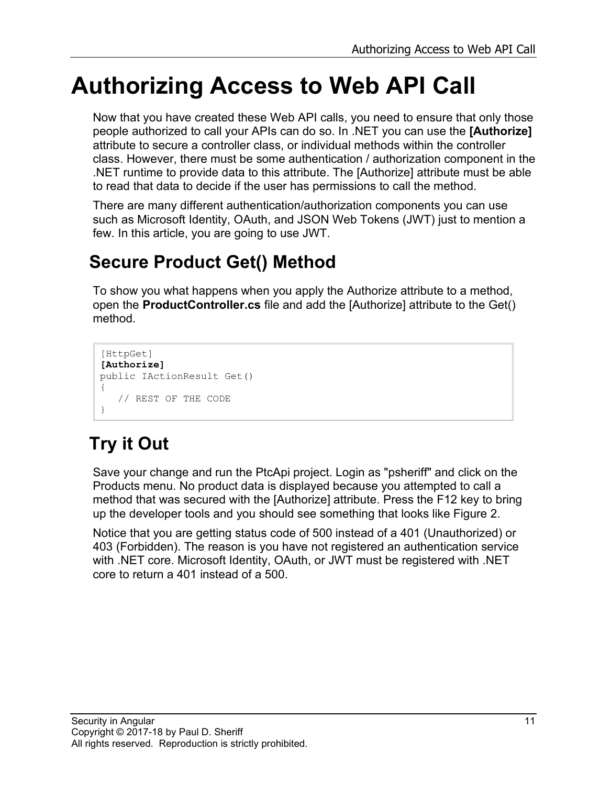## **Authorizing Access to Web API Call**

Now that you have created these Web API calls, you need to ensure that only those people authorized to call your APIs can do so. In .NET you can use the **[Authorize]** attribute to secure a controller class, or individual methods within the controller class. However, there must be some authentication / authorization component in the .NET runtime to provide data to this attribute. The [Authorize] attribute must be able to read that data to decide if the user has permissions to call the method.

There are many different authentication/authorization components you can use such as Microsoft Identity, OAuth, and JSON Web Tokens (JWT) just to mention a few. In this article, you are going to use JWT.

## **Secure Product Get() Method**

To show you what happens when you apply the Authorize attribute to a method, open the **ProductController.cs** file and add the [Authorize] attribute to the Get() method.

```
[HttpGet]
[Authorize]
public IActionResult Get()
{
    // REST OF THE CODE
}
```
## **Try it Out**

Save your change and run the PtcApi project. Login as "psheriff" and click on the Products menu. No product data is displayed because you attempted to call a method that was secured with the [Authorize] attribute. Press the F12 key to bring up the developer tools and you should see something that looks like Figure 2.

Notice that you are getting status code of 500 instead of a 401 (Unauthorized) or 403 (Forbidden). The reason is you have not registered an authentication service with .NET core. Microsoft Identity, OAuth, or JWT must be registered with .NET core to return a 401 instead of a 500.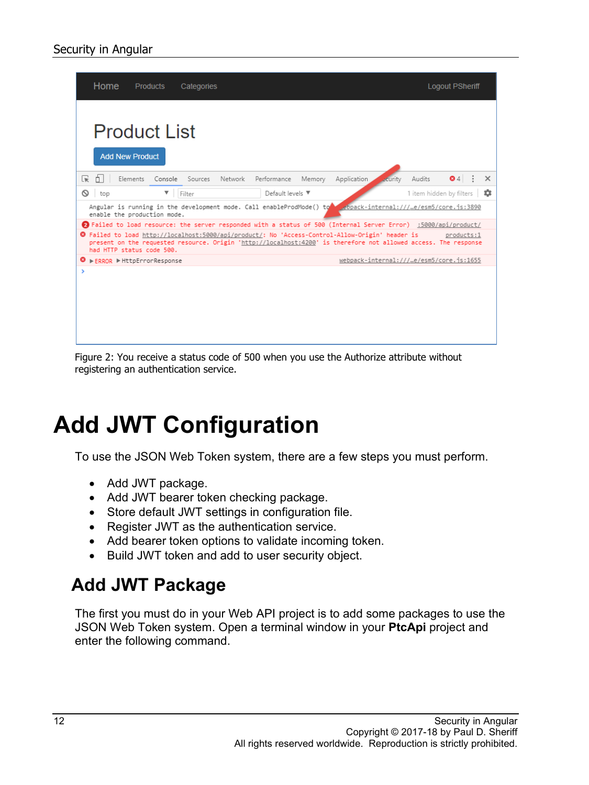| Home                                                                                                                                                                                                                                                                     | <b>Products</b><br>Categories                                                                                    |                                            |  |  |  |  |  |  |
|--------------------------------------------------------------------------------------------------------------------------------------------------------------------------------------------------------------------------------------------------------------------------|------------------------------------------------------------------------------------------------------------------|--------------------------------------------|--|--|--|--|--|--|
| <b>Product List</b><br><b>Add New Product</b>                                                                                                                                                                                                                            |                                                                                                                  |                                            |  |  |  |  |  |  |
| ╔<br>Elements                                                                                                                                                                                                                                                            | Console Sources<br>Network<br>Performance<br>Memory                                                              | 64<br>Audits<br>Application<br>curity<br>× |  |  |  |  |  |  |
| ⊚<br>top                                                                                                                                                                                                                                                                 | ▼<br>Default levels ▼<br>Filter                                                                                  | 1 item hidden by filters<br>≈              |  |  |  |  |  |  |
| ebpack-internal:///…e/esm5/core.js:3890<br>Angular is running in the development mode. Call enableProdMode() to<br>enable the production mode.                                                                                                                           |                                                                                                                  |                                            |  |  |  |  |  |  |
|                                                                                                                                                                                                                                                                          | 2) Failed to load resource: the server responded with a status of 500 (Internal Server Error) :5000/api/product/ |                                            |  |  |  |  |  |  |
| <sup>3</sup> Failed to load http://localhost:5000/api/product/: No 'Access-Control-Allow-Origin' header is<br>products:1<br>present on the requested resource. Origin 'http://localhost:4200' is therefore not allowed access. The response<br>had HTTP status code 500. |                                                                                                                  |                                            |  |  |  |  |  |  |
| $\mathbf{\Theta}$ $\triangleright$ ERROR $\triangleright$ HttpErrorResponse                                                                                                                                                                                              |                                                                                                                  | webpack-internal:///…e/esm5/core.js:1655   |  |  |  |  |  |  |
| $\rightarrow$                                                                                                                                                                                                                                                            |                                                                                                                  |                                            |  |  |  |  |  |  |

Figure 2: You receive a status code of 500 when you use the Authorize attribute without registering an authentication service.

## **Add JWT Configuration**

To use the JSON Web Token system, there are a few steps you must perform.

- Add JWT package.
- Add JWT bearer token checking package.
- Store default JWT settings in configuration file.
- Register JWT as the authentication service.
- Add bearer token options to validate incoming token.
- Build JWT token and add to user security object.

### **Add JWT Package**

The first you must do in your Web API project is to add some packages to use the JSON Web Token system. Open a terminal window in your **PtcApi** project and enter the following command.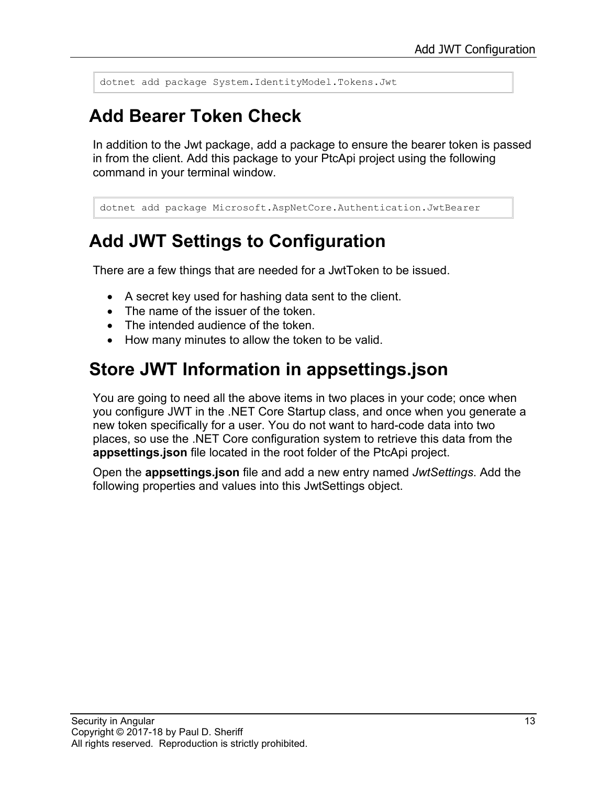dotnet add package System.IdentityModel.Tokens.Jwt

### **Add Bearer Token Check**

In addition to the Jwt package, add a package to ensure the bearer token is passed in from the client. Add this package to your PtcApi project using the following command in your terminal window.

```
dotnet add package Microsoft.AspNetCore.Authentication.JwtBearer
```
### **Add JWT Settings to Configuration**

There are a few things that are needed for a JwtToken to be issued.

- A secret key used for hashing data sent to the client.
- The name of the issuer of the token.
- The intended audience of the token.
- How many minutes to allow the token to be valid.

#### **Store JWT Information in appsettings.json**

You are going to need all the above items in two places in your code; once when you configure JWT in the .NET Core Startup class, and once when you generate a new token specifically for a user. You do not want to hard-code data into two places, so use the .NET Core configuration system to retrieve this data from the **appsettings.json** file located in the root folder of the PtcApi project.

Open the **appsettings.json** file and add a new entry named *JwtSettings*. Add the following properties and values into this JwtSettings object.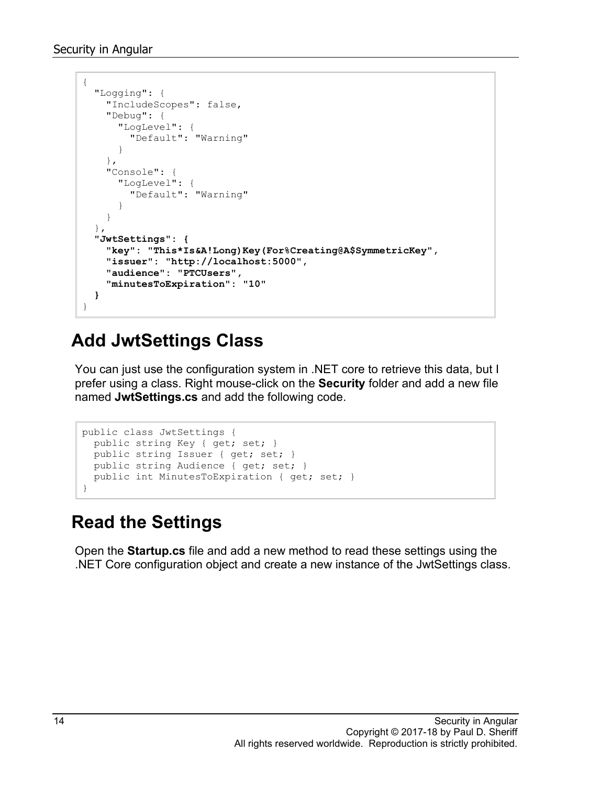```
{
   "Logging": {
     "IncludeScopes": false,
     "Debug": {
       "LogLevel": {
         "Default": "Warning"
       }
     },
     "Console": {
       "LogLevel": {
         "Default": "Warning"
       }
     }
   },
   "JwtSettings": {
     "key": "This*Is&A!Long)Key(For%Creating@A$SymmetricKey",
     "issuer": "http://localhost:5000",
     "audience": "PTCUsers",
     "minutesToExpiration": "10"
   }
}
```
### **Add JwtSettings Class**

You can just use the configuration system in .NET core to retrieve this data, but I prefer using a class. Right mouse-click on the **Security** folder and add a new file named **JwtSettings.cs** and add the following code.

```
public class JwtSettings {
 public string Key { get; set; }
   public string Issuer { get; set; }
  public string Audience { get; set; }
  public int MinutesToExpiration { get; set; }
}
```
### **Read the Settings**

Open the **Startup.cs** file and add a new method to read these settings using the .NET Core configuration object and create a new instance of the JwtSettings class.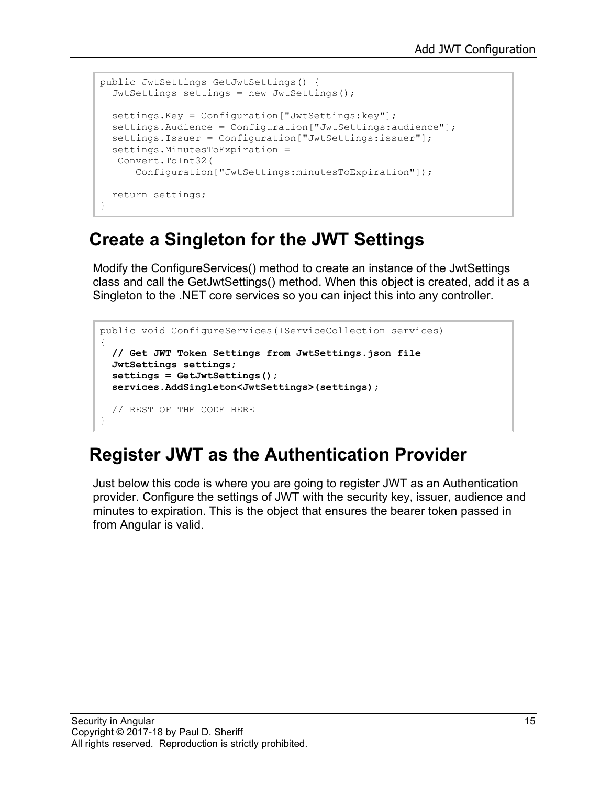```
public JwtSettings GetJwtSettings() {
  JwtSettings settings = new JwtSettings();
  settings.Key = Configuration["JwtSettings:key"];
  settings.Audience = Configuration["JwtSettings:audience"];
 settings. Issuer = Configuration ["JwtSettings: issuer"];
  settings.MinutesToExpiration = 
   Convert.ToInt32(
       Configuration["JwtSettings:minutesToExpiration"]);
  return settings;
}
```
#### **Create a Singleton for the JWT Settings**

Modify the ConfigureServices() method to create an instance of the JwtSettings class and call the GetJwtSettings() method. When this object is created, add it as a Singleton to the .NET core services so you can inject this into any controller.

```
public void ConfigureServices(IServiceCollection services)
{
  // Get JWT Token Settings from JwtSettings.json file
   JwtSettings settings;
  settings = GetJwtSettings();
   services.AddSingleton<JwtSettings>(settings);
  // REST OF THE CODE HERE
}
```
### **Register JWT as the Authentication Provider**

Just below this code is where you are going to register JWT as an Authentication provider. Configure the settings of JWT with the security key, issuer, audience and minutes to expiration. This is the object that ensures the bearer token passed in from Angular is valid.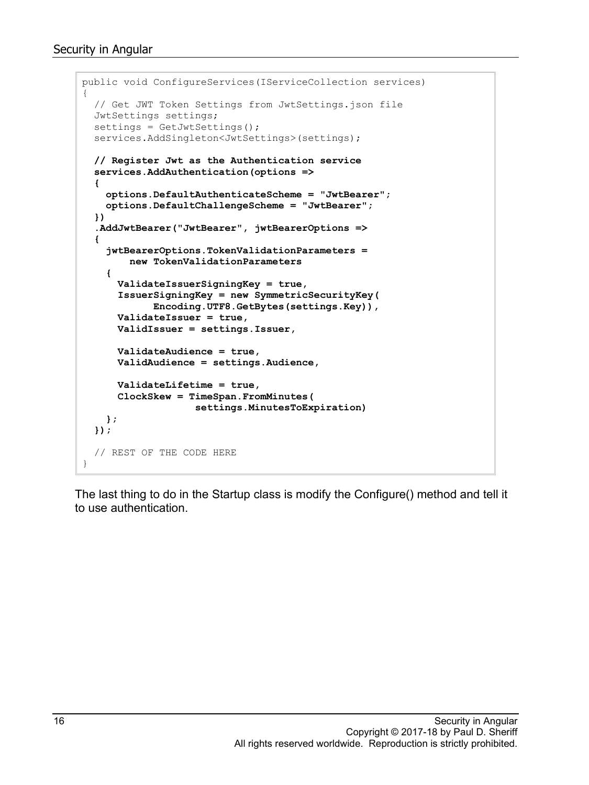```
public void ConfigureServices(IServiceCollection services)
{
   // Get JWT Token Settings from JwtSettings.json file
   JwtSettings settings;
  settings = GetJwtSettings();
  services.AddSingleton<JwtSettings>(settings);
  // Register Jwt as the Authentication service
   services.AddAuthentication(options =>
   {
     options.DefaultAuthenticateScheme = "JwtBearer";
     options.DefaultChallengeScheme = "JwtBearer";
   })
   .AddJwtBearer("JwtBearer", jwtBearerOptions =>
   {
     jwtBearerOptions.TokenValidationParameters = 
         new TokenValidationParameters
     {
       ValidateIssuerSigningKey = true,
       IssuerSigningKey = new SymmetricSecurityKey(
             Encoding.UTF8.GetBytes(settings.Key)),
       ValidateIssuer = true,
       ValidIssuer = settings.Issuer,
       ValidateAudience = true,
       ValidAudience = settings.Audience,
       ValidateLifetime = true,
       ClockSkew = TimeSpan.FromMinutes(
                    settings.MinutesToExpiration)
    };
   });
   // REST OF THE CODE HERE
}
```
The last thing to do in the Startup class is modify the Configure() method and tell it to use authentication.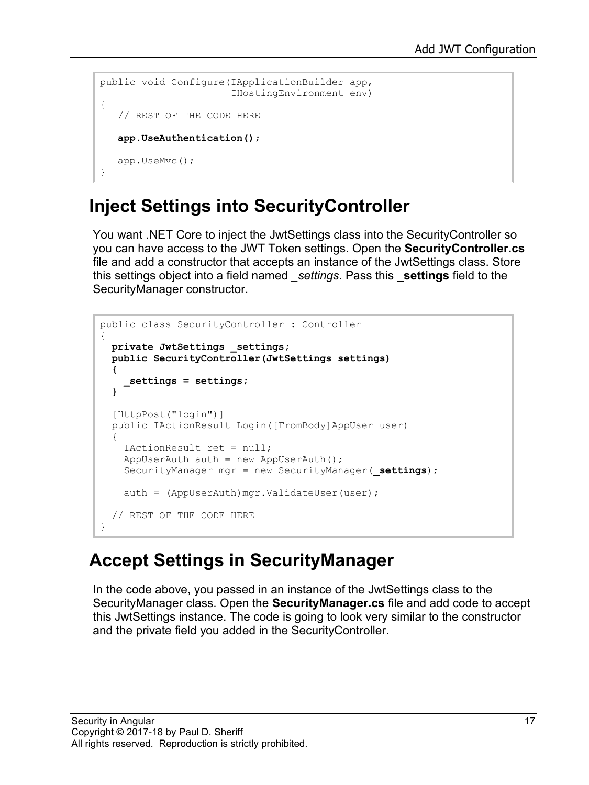```
public void Configure(IApplicationBuilder app,
                       IHostingEnvironment env)
{
    // REST OF THE CODE HERE
    app.UseAuthentication();
    app.UseMvc();
}
```
### **Inject Settings into SecurityController**

You want .NET Core to inject the JwtSettings class into the SecurityController so you can have access to the JWT Token settings. Open the **SecurityController.cs** file and add a constructor that accepts an instance of the JwtSettings class. Store this settings object into a field named *\_settings*. Pass this **\_settings** field to the SecurityManager constructor.

```
public class SecurityController : Controller
{
 private JwtSettings _settings;
  public SecurityController(JwtSettings settings)
 {
    _settings = settings;
   }
   [HttpPost("login")]
  public IActionResult Login([FromBody]AppUser user)
   {
     IActionResult ret = null;
    AppUserAuth auth = new AppUserAuth();
     SecurityManager mgr = new SecurityManager(_settings);
    auth = (AppUserAuth)mgr.ValidateUser(user);
   // REST OF THE CODE HERE
}
```
#### **Accept Settings in SecurityManager**

In the code above, you passed in an instance of the JwtSettings class to the SecurityManager class. Open the **SecurityManager.cs** file and add code to accept this JwtSettings instance. The code is going to look very similar to the constructor and the private field you added in the SecurityController.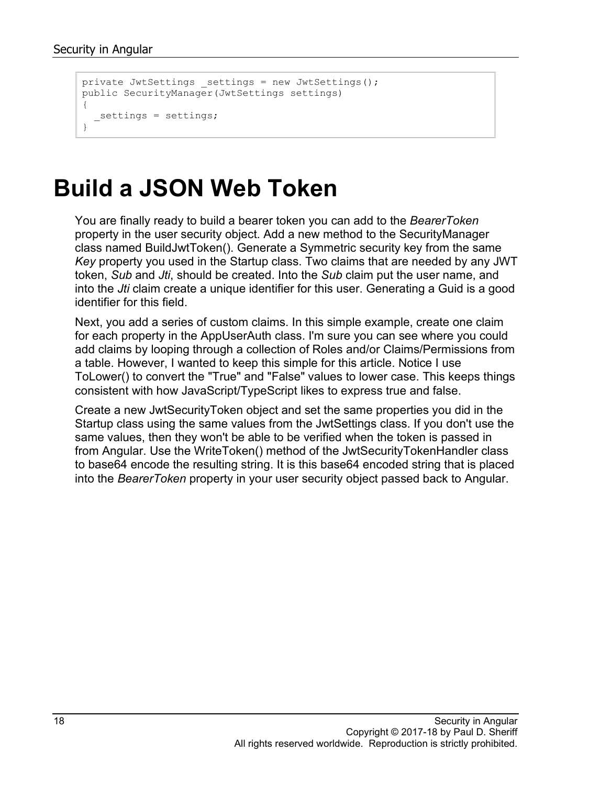```
private JwtSettings settings = new JwtSettings();
public SecurityManager(JwtSettings settings)
{
   _settings = settings;
}
```
## **Build a JSON Web Token**

You are finally ready to build a bearer token you can add to the *BearerToken* property in the user security object. Add a new method to the SecurityManager class named BuildJwtToken(). Generate a Symmetric security key from the same *Key* property you used in the Startup class. Two claims that are needed by any JWT token, *Sub* and *Jti*, should be created. Into the *Sub* claim put the user name, and into the *Jti* claim create a unique identifier for this user. Generating a Guid is a good identifier for this field.

Next, you add a series of custom claims. In this simple example, create one claim for each property in the AppUserAuth class. I'm sure you can see where you could add claims by looping through a collection of Roles and/or Claims/Permissions from a table. However, I wanted to keep this simple for this article. Notice I use ToLower() to convert the "True" and "False" values to lower case. This keeps things consistent with how JavaScript/TypeScript likes to express true and false.

Create a new JwtSecurityToken object and set the same properties you did in the Startup class using the same values from the JwtSettings class. If you don't use the same values, then they won't be able to be verified when the token is passed in from Angular. Use the WriteToken() method of the JwtSecurityTokenHandler class to base64 encode the resulting string. It is this base64 encoded string that is placed into the *BearerToken* property in your user security object passed back to Angular.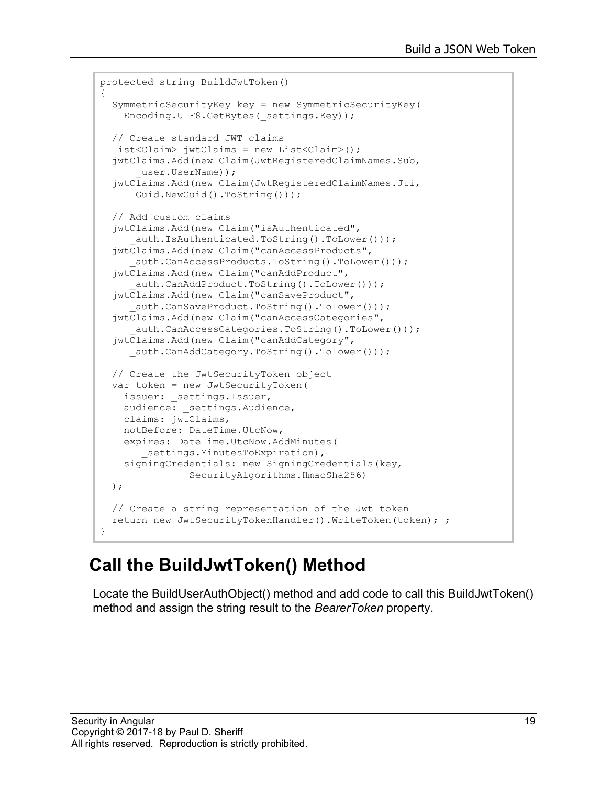```
protected string BuildJwtToken()
{
   SymmetricSecurityKey key = new SymmetricSecurityKey(
    Encoding.UTF8.GetBytes(_settings.Key));
   // Create standard JWT claims
 List<Claim> \frac{1}{1}wtClaims = new List<Claim>();
   jwtClaims.Add(new Claim(JwtRegisteredClaimNames.Sub,
       user.UserName));
   jwtClaims.Add(new Claim(JwtRegisteredClaimNames.Jti,
       Guid.NewGuid().ToString()));
   // Add custom claims
   jwtClaims.Add(new Claim("isAuthenticated",
      auth.IsAuthenticated.ToString().ToLower()));
   jwtClaims.Add(new Claim("canAccessProducts",
      auth.CanAccessProducts.ToString().ToLower()));
   jwtClaims.Add(new Claim("canAddProduct",
      auth.CanAddProduct.ToString().ToLower()));
   jwtClaims.Add(new Claim("canSaveProduct",
     auth.CanSaveProduct.ToString().ToLower()));
   jwtClaims.Add(new Claim("canAccessCategories",
      auth.CanAccessCategories.ToString().ToLower()));
   jwtClaims.Add(new Claim("canAddCategory",
     auth.CanAddCategory.ToString().ToLower()));
   // Create the JwtSecurityToken object
  var token = new JwtSecurityToken(
    issuer: settings.Issuer,
    audience: settings.Audience,
     claims: jwtClaims,
    notBefore: DateTime.UtcNow,
     expires: DateTime.UtcNow.AddMinutes(
        settings.MinutesToExpiration),
     signingCredentials: new SigningCredentials(key,
                SecurityAlgorithms.HmacSha256)
  );
   // Create a string representation of the Jwt token
   return new JwtSecurityTokenHandler().WriteToken(token); ;
}
```
### **Call the BuildJwtToken() Method**

Locate the BuildUserAuthObject() method and add code to call this BuildJwtToken() method and assign the string result to the *BearerToken* property.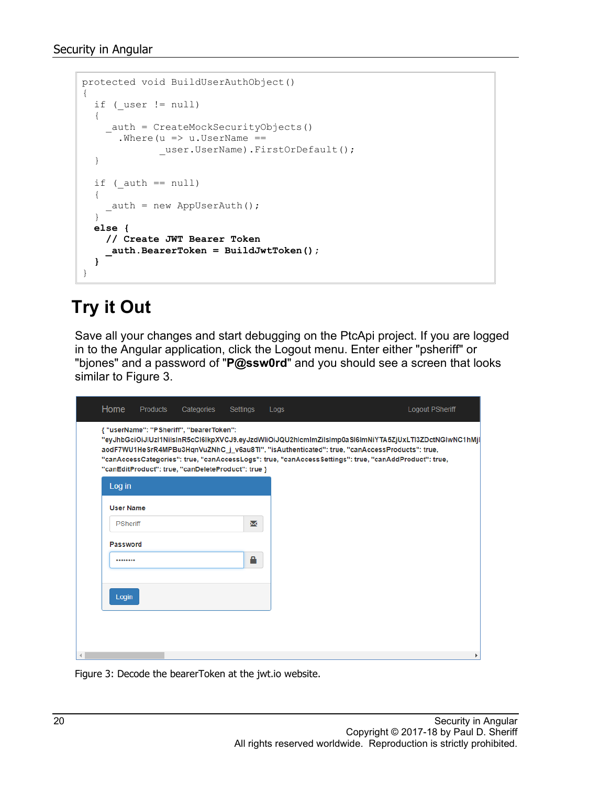```
protected void BuildUserAuthObject()
{
  if ( user != null)
   {
     auth = CreateMockSecurityObjects()
      .Where (u \Rightarrow u.UserName ==
              user.UserName).FirstOrDefault();
   }
  if (auth == null)
   {
    _ auth = new AppUserAuth();
   }
  else {
     // Create JWT Bearer Token
     _auth.BearerToken = BuildJwtToken(); 
   }
}
```
### **Try it Out**

Save all your changes and start debugging on the PtcApi project. If you are logged in to the Angular application, click the Logout menu. Enter either "psheriff" or "bjones" and a password of "**P@ssw0rd**" and you should see a screen that looks similar to Figure 3.



Figure 3: Decode the bearerToken at the jwt.io website.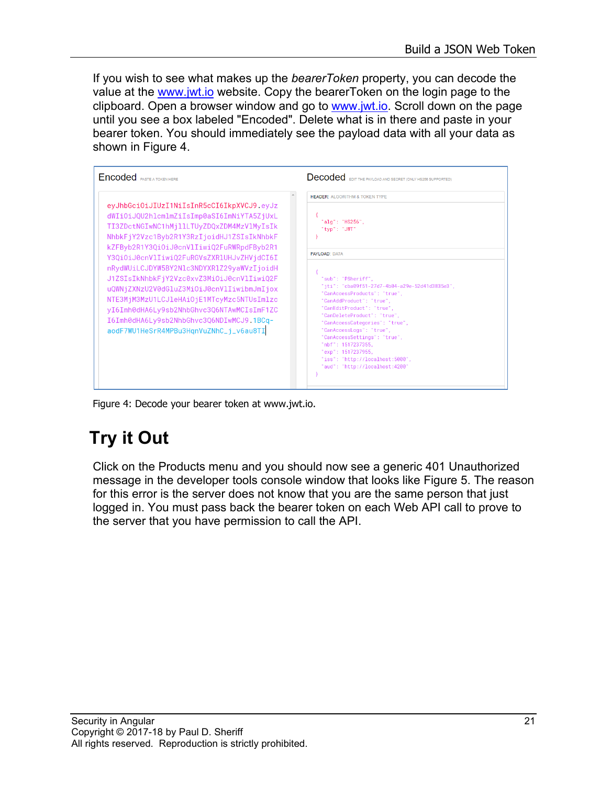If you wish to see what makes up the *bearerToken* property, you can decode the value at the [www.jwt.io](http://www.jwt.io/) website. Copy the bearerToken on the login page to the clipboard. Open a browser window and go to [www.jwt.io.](http://www.jwt.io/) Scroll down on the page until you see a box labeled "Encoded". Delete what is in there and paste in your bearer token. You should immediately see the payload data with all your data as shown in Figure 4.

| <b>Encoded</b> PASTE A TOKEN HERE                                                                                                                                                                                                                                                                                                                                                                                                                                                                                                                                                                 | Decoded EDITTHE PAYLOAD AND SECRET (ONLY HS256 SUPPORTED)                                                                                                                                                                                                                                                                                                                                                                                                                                                           |  |  |  |  |  |
|---------------------------------------------------------------------------------------------------------------------------------------------------------------------------------------------------------------------------------------------------------------------------------------------------------------------------------------------------------------------------------------------------------------------------------------------------------------------------------------------------------------------------------------------------------------------------------------------------|---------------------------------------------------------------------------------------------------------------------------------------------------------------------------------------------------------------------------------------------------------------------------------------------------------------------------------------------------------------------------------------------------------------------------------------------------------------------------------------------------------------------|--|--|--|--|--|
| eyJhbGciOiJIUzI1NiIsInR5cCI6IkpXVCJ9.eyJz<br>dWIiOiJQU2hlcmlmZiIsImp0aSI6ImNiYTA5ZjUxL<br>TI3ZDctNGIwNC1hMjllLTUyZDQxZDM4MzVlMyIsIk<br>NhbkFjY2Vzc1Byb2R1Y3RzIjoidHJ1ZSIsIkNhbkF<br>kZFByb2R1Y3QiOiJ0cnVlIiwiQ2FuRWRpdFByb2R1<br>Y3QiOiJ0cnVlIiwiQ2FuRGVsZXR1UHJvZHVjdCI6I<br>nRydWUiLCJDYW5BY2Nlc3NDYXR1Z29yaWVzIjoidH<br>J1ZSIsIkNhbkFjY2Vzc0xvZ3Mi0iJ0cnVlIiwiQ2F<br>uQWNjZXNzU2V0dGluZ3MiOiJ0cnVlIiwibmJmIjox<br>NTE3MjM3MzU1LCJ1eHAi0jE1MTcyMzc5NTUsImlzc<br>yI6Imh0dHA6Ly9sb2NhbGhvc3Q6NTAwMCIsImF1ZC<br>I6Imh0dHA6Ly9sb2NhbGhvc3Q6NDIwMCJ9.1BCq-<br>aodF7WU1HeSrR4MPBu3HqnVuZNhC_j_v6au8TI | <b>HEADER: ALGORITHM &amp; TOKEN TYPE</b><br>"alq": "HS256",<br>"tvp": "JWT"<br><b>PAYLOAD: DATA</b><br>"sub": "PSheriff",<br>"jti": "cba09f51-27d7-4b04-a29e-52d41d3835e3",<br>"CanAccessProducts": "true",<br>"CanAddProduct": "true",<br>"CanEditProduct": "true",<br>"CanDeleteProduct": "true",<br>"CanAccessCategories": "true",<br>"CanAccessLogs": "true",<br>"CanAccessSettings": "true",<br>"nbf": 1517237355.<br>"exp": 1517237955,<br>"iss": "http://localhost:5000",<br>"aud": "http://localhost:4200" |  |  |  |  |  |

Figure 4: Decode your bearer token at www.jwt.io.

## **Try it Out**

Click on the Products menu and you should now see a generic 401 Unauthorized message in the developer tools console window that looks like Figure 5. The reason for this error is the server does not know that you are the same person that just logged in. You must pass back the bearer token on each Web API call to prove to the server that you have permission to call the API.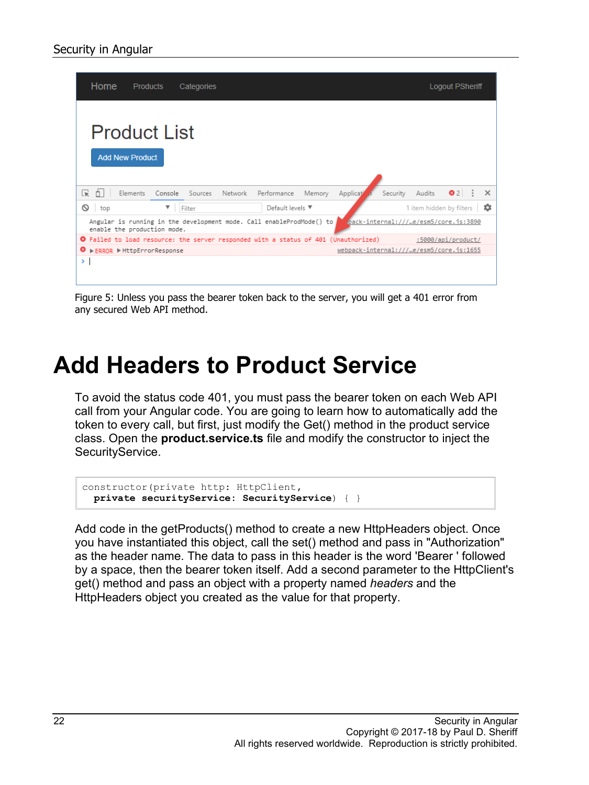|                                                                                                                                              | Home<br><b>Products</b><br>Categories         |         |         |         |                                                                                     | <b>Logout PSheriff</b> |                                          |          |                          |                      |  |          |
|----------------------------------------------------------------------------------------------------------------------------------------------|-----------------------------------------------|---------|---------|---------|-------------------------------------------------------------------------------------|------------------------|------------------------------------------|----------|--------------------------|----------------------|--|----------|
|                                                                                                                                              | <b>Product List</b><br><b>Add New Product</b> |         |         |         |                                                                                     |                        |                                          |          |                          |                      |  |          |
| $\mathbf{R}$<br>Ò.                                                                                                                           | Elements                                      | Console | Sources | Network | Performance                                                                         | Memory                 | Applicat                                 | Security | Audits                   | $\bullet$ 2 $\vdots$ |  | $\times$ |
| ଷ<br>top                                                                                                                                     |                                               | ▼       | Filter  |         | Default levels ▼                                                                    |                        |                                          |          | 1 item hidden by filters |                      |  | ≎        |
| pack-internal:///…e/esm5/core.js:3890<br>Angular is running in the development mode. Call enableProdMode() to<br>enable the production mode. |                                               |         |         |         |                                                                                     |                        |                                          |          |                          |                      |  |          |
|                                                                                                                                              |                                               |         |         |         | O Failed to load resource: the server responded with a status of 401 (Unauthorized) |                        |                                          |          |                          | :5000/api/product/   |  |          |
| ◎                                                                                                                                            | ▶ ERROR ▶ HttpErrorResponse                   |         |         |         |                                                                                     |                        | webpack-internal:///…e/esm5/core.js:1655 |          |                          |                      |  |          |
| ≻                                                                                                                                            |                                               |         |         |         |                                                                                     |                        |                                          |          |                          |                      |  |          |

Figure 5: Unless you pass the bearer token back to the server, you will get a 401 error from any secured Web API method.

## **Add Headers to Product Service**

To avoid the status code 401, you must pass the bearer token on each Web API call from your Angular code. You are going to learn how to automatically add the token to every call, but first, just modify the Get() method in the product service class. Open the **product.service.ts** file and modify the constructor to inject the SecurityService.

```
constructor(private http: HttpClient,
  private securityService: SecurityService) { }
```
Add code in the getProducts() method to create a new HttpHeaders object. Once you have instantiated this object, call the set() method and pass in "Authorization" as the header name. The data to pass in this header is the word 'Bearer ' followed by a space, then the bearer token itself. Add a second parameter to the HttpClient's get() method and pass an object with a property named *headers* and the HttpHeaders object you created as the value for that property.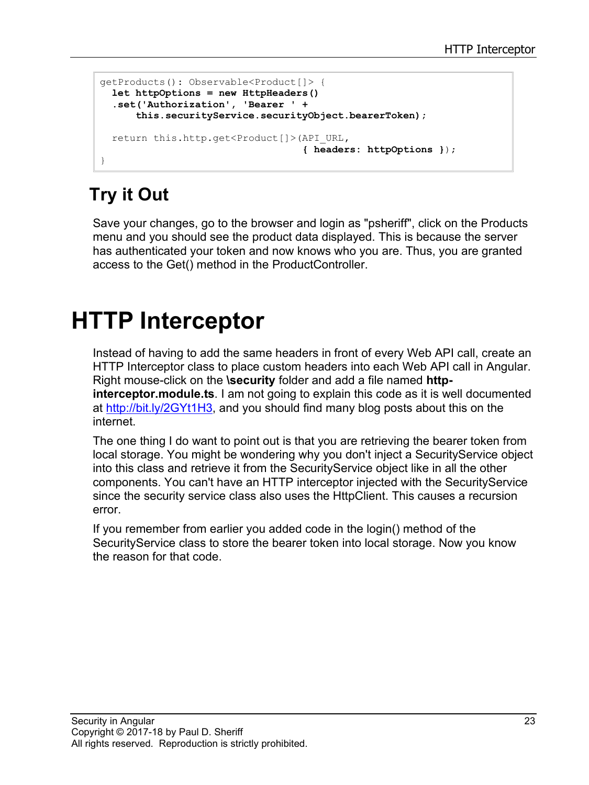```
getProducts(): Observable<Product[]> {
  let httpOptions = new HttpHeaders()
   .set('Authorization', 'Bearer ' +
       this.securityService.securityObject.bearerToken);
  return this.http.get<Product[]>(API_URL,
                                    { headers: httpOptions });
}
```
## **Try it Out**

Save your changes, go to the browser and login as "psheriff", click on the Products menu and you should see the product data displayed. This is because the server has authenticated your token and now knows who you are. Thus, you are granted access to the Get() method in the ProductController.

## **HTTP Interceptor**

Instead of having to add the same headers in front of every Web API call, create an HTTP Interceptor class to place custom headers into each Web API call in Angular. Right mouse-click on the **\security** folder and add a file named **httpinterceptor.module.ts**. I am not going to explain this code as it is well documented at [http://bit.ly/2GYt1H3,](http://bit.ly/2GYt1H3) and you should find many blog posts about this on the internet.

The one thing I do want to point out is that you are retrieving the bearer token from local storage. You might be wondering why you don't inject a SecurityService object into this class and retrieve it from the SecurityService object like in all the other components. You can't have an HTTP interceptor injected with the SecurityService since the security service class also uses the HttpClient. This causes a recursion error.

If you remember from earlier you added code in the login() method of the SecurityService class to store the bearer token into local storage. Now you know the reason for that code.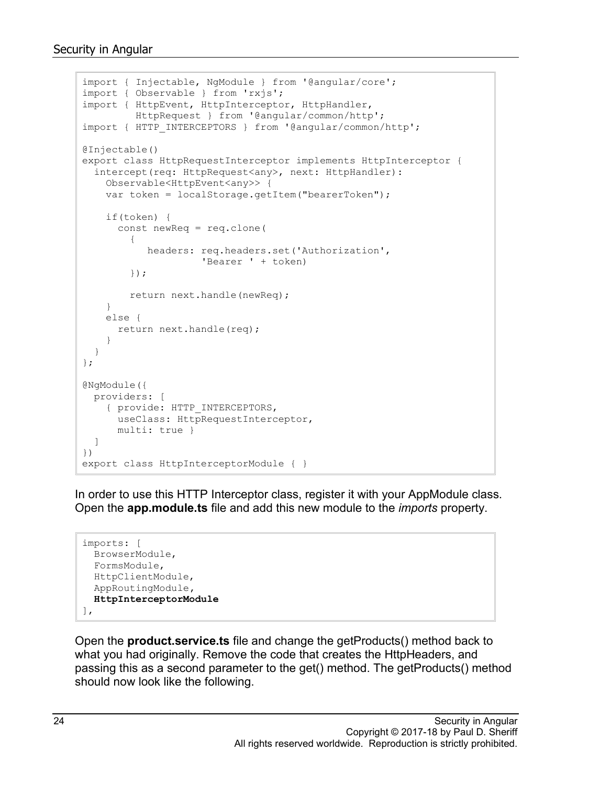```
import { Injectable, NgModule } from '@angular/core';
import { Observable } from 'rxjs';
import { HttpEvent, HttpInterceptor, HttpHandler,
          HttpRequest } from '@angular/common/http';
import { HTTP_INTERCEPTORS } from '@angular/common/http';
@Injectable()
export class HttpRequestInterceptor implements HttpInterceptor {
   intercept(req: HttpRequest<any>, next: HttpHandler):
     Observable<HttpEvent<any>> {
     var token = localStorage.getItem("bearerToken");
     if(token) {
       const newReq = req.clone(
         { 
            headers: req.headers.set('Authorization',
                      'Bearer ' + token)
         });
         return next.handle(newReq);
     }
     else {
       return next.handle(req);
     }
   }
};
@NgModule({
  providers: [
     { provide: HTTP_INTERCEPTORS, 
       useClass: HttpRequestInterceptor, 
       multi: true }
   ]
})
export class HttpInterceptorModule { }
```
In order to use this HTTP Interceptor class, register it with your AppModule class. Open the **app.module.ts** file and add this new module to the *imports* property.

```
imports: [
  BrowserModule,
   FormsModule,
  HttpClientModule,
   AppRoutingModule,
   HttpInterceptorModule
\frac{1}{2},
```
Open the **product.service.ts** file and change the getProducts() method back to what you had originally. Remove the code that creates the HttpHeaders, and passing this as a second parameter to the get() method. The getProducts() method should now look like the following.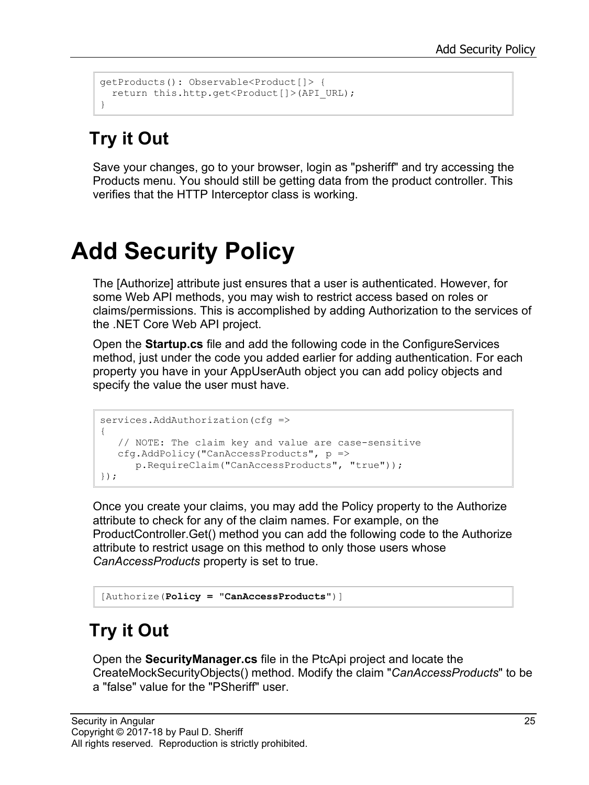```
getProducts(): Observable<Product[]> {
 return this.http.get<Product[]>(API_URL);
}
```
## **Try it Out**

Save your changes, go to your browser, login as "psheriff" and try accessing the Products menu. You should still be getting data from the product controller. This verifies that the HTTP Interceptor class is working.

## **Add Security Policy**

The [Authorize] attribute just ensures that a user is authenticated. However, for some Web API methods, you may wish to restrict access based on roles or claims/permissions. This is accomplished by adding Authorization to the services of the .NET Core Web API project.

Open the **Startup.cs** file and add the following code in the ConfigureServices method, just under the code you added earlier for adding authentication. For each property you have in your AppUserAuth object you can add policy objects and specify the value the user must have.

```
services.AddAuthorization(cfg =>
{
   // NOTE: The claim key and value are case-sensitive
   cfg.AddPolicy("CanAccessProducts", p =>
       p.RequireClaim("CanAccessProducts", "true"));
});
```
Once you create your claims, you may add the Policy property to the Authorize attribute to check for any of the claim names. For example, on the ProductController.Get() method you can add the following code to the Authorize attribute to restrict usage on this method to only those users whose *CanAccessProducts* property is set to true.

```
[Authorize(Policy = "CanAccessProducts")]
```
## **Try it Out**

Open the **SecurityManager.cs** file in the PtcApi project and locate the CreateMockSecurityObjects() method. Modify the claim "*CanAccessProducts*" to be a "false" value for the "PSheriff" user.